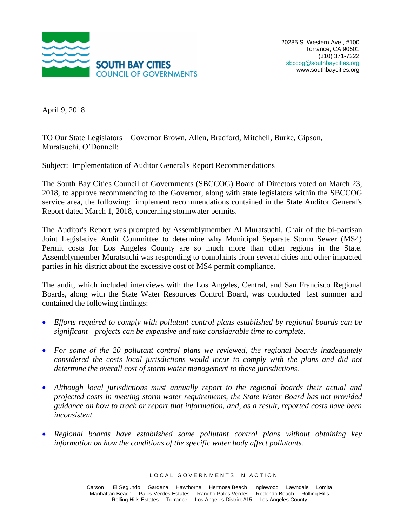

April 9, 2018

TO Our State Legislators – Governor Brown, Allen, Bradford, Mitchell, Burke, Gipson, Muratsuchi, O'Donnell:

Subject: Implementation of Auditor General's Report Recommendations

The South Bay Cities Council of Governments (SBCCOG) Board of Directors voted on March 23, 2018, to approve recommending to the Governor, along with state legislators within the SBCCOG service area, the following: implement recommendations contained in the State Auditor General's Report dated March 1, 2018, concerning stormwater permits.

The Auditor's Report was prompted by Assemblymember Al Muratsuchi, Chair of the bi-partisan Joint Legislative Audit Committee to determine why Municipal Separate Storm Sewer (MS4) Permit costs for Los Angeles County are so much more than other regions in the State. Assemblymember Muratsuchi was responding to complaints from several cities and other impacted parties in his district about the excessive cost of MS4 permit compliance.

The audit, which included interviews with the Los Angeles, Central, and San Francisco Regional Boards, along with the State Water Resources Control Board, was conducted last summer and contained the following findings:

- *Efforts required to comply with pollutant control plans established by regional boards can be significant—projects can be expensive and take considerable time to complete.*
- *For some of the 20 pollutant control plans we reviewed, the regional boards inadequately considered the costs local jurisdictions would incur to comply with the plans and did not determine the overall cost of storm water management to those jurisdictions.*
- *Although local jurisdictions must annually report to the regional boards their actual and projected costs in meeting storm water requirements, the State Water Board has not provided guidance on how to track or report that information, and, as a result, reported costs have been inconsistent.*
- *Regional boards have established some pollutant control plans without obtaining key information on how the conditions of the specific water body affect pollutants.*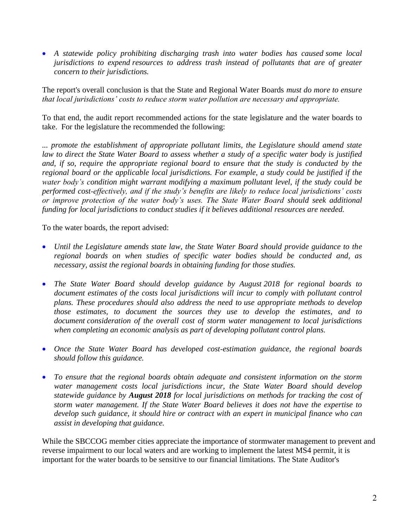• A statewide policy prohibiting discharging trash into water bodies has caused some local *jurisdictions to expend resources to address trash instead of pollutants that are of greater concern to their jurisdictions.*

The report's overall conclusion is that the State and Regional Water Boards *must do more to ensure that local jurisdictions' costs to reduce storm water pollution are necessary and appropriate.*

To that end, the audit report recommended actions for the state legislature and the water boards to take. For the legislature the recommended the following:

*... promote the establishment of appropriate pollutant limits, the Legislature should amend state law to direct the State Water Board to assess whether a study of a specific water body is justified and, if so, require the appropriate regional board to ensure that the study is conducted by the regional board or the applicable local jurisdictions. For example, a study could be justified if the water body's condition might warrant modifying a maximum pollutant level, if the study could be performed cost‑effectively, and if the study's benefits are likely to reduce local jurisdictions' costs or improve protection of the water body's uses. The State Water Board should seek additional funding for local jurisdictions to conduct studies if it believes additional resources are needed.*

To the water boards, the report advised:

- *Until the Legislature amends state law, the State Water Board should provide guidance to the regional boards on when studies of specific water bodies should be conducted and, as necessary, assist the regional boards in obtaining funding for those studies.*
- *The State Water Board should develop guidance by August 2018 for regional boards to document estimates of the costs local jurisdictions will incur to comply with pollutant control plans. These procedures should also address the need to use appropriate methods to develop those estimates, to document the sources they use to develop the estimates, and to document consideration of the overall cost of storm water management to local jurisdictions when completing an economic analysis as part of developing pollutant control plans.*
- Once the State Water Board has developed cost-estimation guidance, the regional boards *should follow this guidance.*
- *To ensure that the regional boards obtain adequate and consistent information on the storm water management costs local jurisdictions incur, the State Water Board should develop statewide guidance by August 2018 for local jurisdictions on methods for tracking the cost of storm water management. If the State Water Board believes it does not have the expertise to develop such guidance, it should hire or contract with an expert in municipal finance who can assist in developing that guidance.*

While the SBCCOG member cities appreciate the importance of stormwater management to prevent and reverse impairment to our local waters and are working to implement the latest MS4 permit, it is important for the water boards to be sensitive to our financial limitations. The State Auditor's